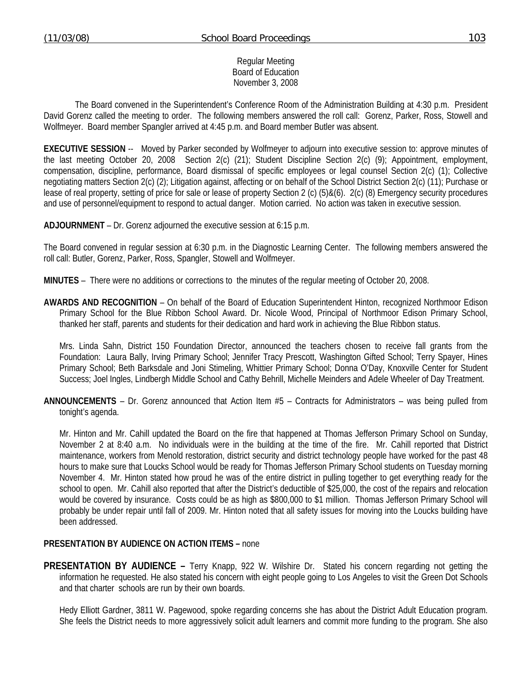### Regular Meeting Board of Education November 3, 2008

 The Board convened in the Superintendent's Conference Room of the Administration Building at 4:30 p.m. President David Gorenz called the meeting to order. The following members answered the roll call: Gorenz, Parker, Ross, Stowell and Wolfmeyer. Board member Spangler arrived at 4:45 p.m. and Board member Butler was absent.

**EXECUTIVE SESSION** -- Moved by Parker seconded by Wolfmeyer to adjourn into executive session to: approve minutes of the last meeting October 20, 2008 Section 2(c) (21); Student Discipline Section 2(c) (9); Appointment, employment, compensation, discipline, performance, Board dismissal of specific employees or legal counsel Section 2(c) (1); Collective negotiating matters Section 2(c) (2); Litigation against, affecting or on behalf of the School District Section 2(c) (11); Purchase or lease of real property, setting of price for sale or lease of property Section 2 (c) (5)&(6). 2(c) (8) Emergency security procedures and use of personnel/equipment to respond to actual danger. Motion carried. No action was taken in executive session.

**ADJOURNMENT** – Dr. Gorenz adjourned the executive session at 6:15 p.m.

The Board convened in regular session at 6:30 p.m. in the Diagnostic Learning Center. The following members answered the roll call: Butler, Gorenz, Parker, Ross, Spangler, Stowell and Wolfmeyer.

**MINUTES** – There were no additions or corrections to the minutes of the regular meeting of October 20, 2008.

**AWARDS AND RECOGNITION** – On behalf of the Board of Education Superintendent Hinton, recognized Northmoor Edison Primary School for the Blue Ribbon School Award. Dr. Nicole Wood, Principal of Northmoor Edison Primary School, thanked her staff, parents and students for their dedication and hard work in achieving the Blue Ribbon status.

 Mrs. Linda Sahn, District 150 Foundation Director, announced the teachers chosen to receive fall grants from the Foundation: Laura Bally, Irving Primary School; Jennifer Tracy Prescott, Washington Gifted School; Terry Spayer, Hines Primary School; Beth Barksdale and Joni Stimeling, Whittier Primary School; Donna O'Day, Knoxville Center for Student Success; Joel Ingles, Lindbergh Middle School and Cathy Behrill, Michelle Meinders and Adele Wheeler of Day Treatment.

**ANNOUNCEMENTS** – Dr. Gorenz announced that Action Item #5 – Contracts for Administrators – was being pulled from tonight's agenda.

 Mr. Hinton and Mr. Cahill updated the Board on the fire that happened at Thomas Jefferson Primary School on Sunday, November 2 at 8:40 a.m. No individuals were in the building at the time of the fire. Mr. Cahill reported that District maintenance, workers from Menold restoration, district security and district technology people have worked for the past 48 hours to make sure that Loucks School would be ready for Thomas Jefferson Primary School students on Tuesday morning November 4. Mr. Hinton stated how proud he was of the entire district in pulling together to get everything ready for the school to open. Mr. Cahill also reported that after the District's deductible of \$25,000, the cost of the repairs and relocation would be covered by insurance. Costs could be as high as \$800,000 to \$1 million. Thomas Jefferson Primary School will probably be under repair until fall of 2009. Mr. Hinton noted that all safety issues for moving into the Loucks building have been addressed.

### **PRESENTATION BY AUDIENCE ON ACTION ITEMS –** none

**PRESENTATION BY AUDIENCE –** Terry Knapp, 922 W. Wilshire Dr. Stated his concern regarding not getting the information he requested. He also stated his concern with eight people going to Los Angeles to visit the Green Dot Schools and that charter schools are run by their own boards.

 Hedy Elliott Gardner, 3811 W. Pagewood, spoke regarding concerns she has about the District Adult Education program. She feels the District needs to more aggressively solicit adult learners and commit more funding to the program. She also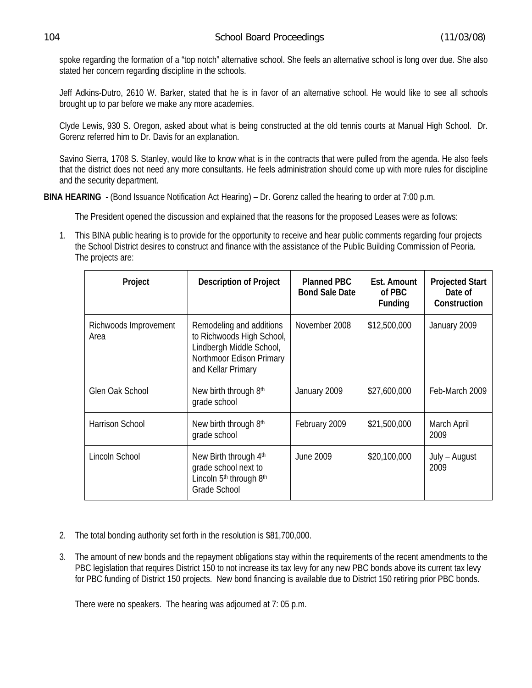spoke regarding the formation of a "top notch" alternative school. She feels an alternative school is long over due. She also stated her concern regarding discipline in the schools.

 Jeff Adkins-Dutro, 2610 W. Barker, stated that he is in favor of an alternative school. He would like to see all schools brought up to par before we make any more academies.

 Clyde Lewis, 930 S. Oregon, asked about what is being constructed at the old tennis courts at Manual High School. Dr. Gorenz referred him to Dr. Davis for an explanation.

 Savino Sierra, 1708 S. Stanley, would like to know what is in the contracts that were pulled from the agenda. He also feels that the district does not need any more consultants. He feels administration should come up with more rules for discipline and the security department.

**BINA HEARING** - (Bond Issuance Notification Act Hearing) – Dr. Gorenz called the hearing to order at 7:00 p.m.

The President opened the discussion and explained that the reasons for the proposed Leases were as follows:

1. This BINA public hearing is to provide for the opportunity to receive and hear public comments regarding four projects the School District desires to construct and finance with the assistance of the Public Building Commission of Peoria. The projects are:

| Project                       | <b>Description of Project</b>                                                                                                       | <b>Planned PBC</b><br><b>Bond Sale Date</b> | Est. Amount<br>of PBC<br>Funding | <b>Projected Start</b><br>Date of<br>Construction |
|-------------------------------|-------------------------------------------------------------------------------------------------------------------------------------|---------------------------------------------|----------------------------------|---------------------------------------------------|
| Richwoods Improvement<br>Area | Remodeling and additions<br>to Richwoods High School,<br>Lindbergh Middle School,<br>Northmoor Edison Primary<br>and Kellar Primary | November 2008                               | \$12,500,000                     | January 2009                                      |
| Glen Oak School               | New birth through 8th<br>grade school                                                                                               | January 2009                                | \$27,600,000                     | Feb-March 2009                                    |
| Harrison School               | New birth through 8th<br>grade school                                                                                               | February 2009                               | \$21,500,000                     | March April<br>2009                               |
| Lincoln School                | New Birth through 4th<br>grade school next to<br>Lincoln 5 <sup>th</sup> through 8 <sup>th</sup><br><b>Grade School</b>             | June 2009                                   | \$20,100,000                     | July – August<br>2009                             |

- 2. The total bonding authority set forth in the resolution is \$81,700,000.
- 3. The amount of new bonds and the repayment obligations stay within the requirements of the recent amendments to the PBC legislation that requires District 150 to not increase its tax levy for any new PBC bonds above its current tax levy for PBC funding of District 150 projects. New bond financing is available due to District 150 retiring prior PBC bonds.

There were no speakers. The hearing was adjourned at 7: 05 p.m.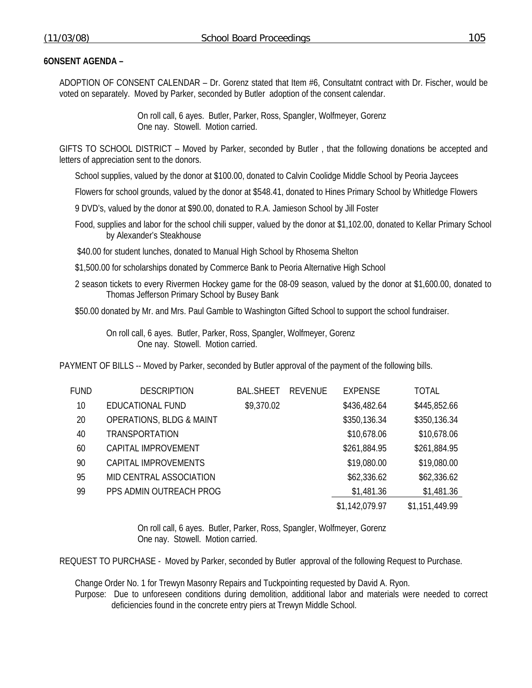ADOPTION OF CONSENT CALENDAR – Dr. Gorenz stated that Item #6, Consultatnt contract with Dr. Fischer, would be voted on separately. Moved by Parker, seconded by Butler adoption of the consent calendar.

> On roll call, 6 ayes. Butler, Parker, Ross, Spangler, Wolfmeyer, Gorenz One nay. Stowell. Motion carried.

GIFTS TO SCHOOL DISTRICT – Moved by Parker, seconded by Butler , that the following donations be accepted and letters of appreciation sent to the donors.

School supplies, valued by the donor at \$100.00, donated to Calvin Coolidge Middle School by Peoria Jaycees

Flowers for school grounds, valued by the donor at \$548.41, donated to Hines Primary School by Whitledge Flowers

9 DVD's, valued by the donor at \$90.00, donated to R.A. Jamieson School by Jill Foster

Food, supplies and labor for the school chili supper, valued by the donor at \$1,102.00, donated to Kellar Primary School by Alexander's Steakhouse

\$40.00 for student lunches, donated to Manual High School by Rhosema Shelton

\$1,500.00 for scholarships donated by Commerce Bank to Peoria Alternative High School

2 season tickets to every Rivermen Hockey game for the 08-09 season, valued by the donor at \$1,600.00, donated to Thomas Jefferson Primary School by Busey Bank

\$50.00 donated by Mr. and Mrs. Paul Gamble to Washington Gifted School to support the school fundraiser.

 On roll call, 6 ayes. Butler, Parker, Ross, Spangler, Wolfmeyer, Gorenz One nay. Stowell. Motion carried.

PAYMENT OF BILLS -- Moved by Parker, seconded by Butler approval of the payment of the following bills.

| FUND | <b>DESCRIPTION</b>                  | <b>BAL.SHEET</b> | <b>REVENUE</b> | <b>EXPENSE</b> | <b>TOTAL</b>   |
|------|-------------------------------------|------------------|----------------|----------------|----------------|
| 10   | EDUCATIONAL FUND                    | \$9,370.02       |                | \$436,482.64   | \$445,852.66   |
| 20   | <b>OPERATIONS, BLDG &amp; MAINT</b> |                  |                | \$350,136.34   | \$350,136.34   |
| 40   | TRANSPORTATION                      |                  |                | \$10,678.06    | \$10,678.06    |
| 60   | CAPITAL IMPROVEMENT                 |                  |                | \$261,884.95   | \$261,884.95   |
| 90   | CAPITAL IMPROVEMENTS                |                  |                | \$19,080.00    | \$19,080.00    |
| 95   | MID CENTRAL ASSOCIATION             |                  |                | \$62,336.62    | \$62,336.62    |
| 99   | PPS ADMIN OUTREACH PROG             |                  |                | \$1,481.36     | \$1,481.36     |
|      |                                     |                  |                | \$1,142,079.97 | \$1,151,449.99 |

 On roll call, 6 ayes. Butler, Parker, Ross, Spangler, Wolfmeyer, Gorenz One nay. Stowell. Motion carried.

REQUEST TO PURCHASE - Moved by Parker, seconded by Butler approval of the following Request to Purchase.

Change Order No. 1 for Trewyn Masonry Repairs and Tuckpointing requested by David A. Ryon.

Purpose: Due to unforeseen conditions during demolition, additional labor and materials were needed to correct deficiencies found in the concrete entry piers at Trewyn Middle School.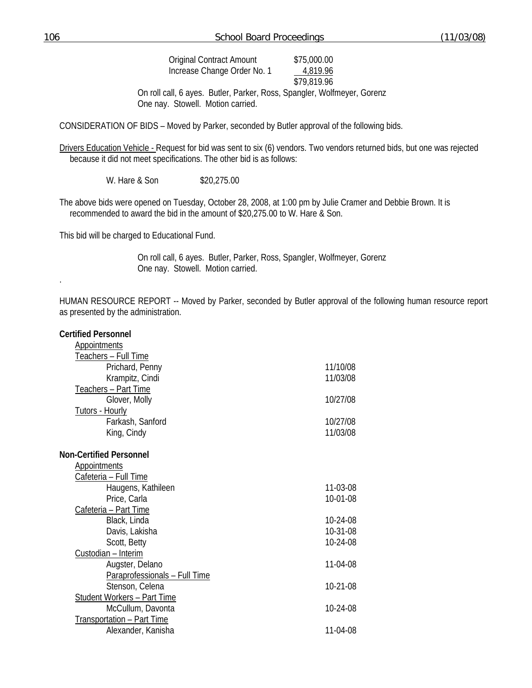| (11/03/08)<br>106<br><b>School Board Proceedings</b> |
|------------------------------------------------------|
|------------------------------------------------------|

On roll call, 6 ayes. Butler, Parker, Ross, Spangler, Wolfmeyer, Gorenz One nay. Stowell. Motion carried.

CONSIDERATION OF BIDS – Moved by Parker, seconded by Butler approval of the following bids.

Drivers Education Vehicle - Request for bid was sent to six (6) vendors. Two vendors returned bids, but one was rejected because it did not meet specifications. The other bid is as follows:

W. Hare & Son \$20,275.00

The above bids were opened on Tuesday, October 28, 2008, at 1:00 pm by Julie Cramer and Debbie Brown. It is recommended to award the bid in the amount of \$20,275.00 to W. Hare & Son.

This bid will be charged to Educational Fund.

 On roll call, 6 ayes. Butler, Parker, Ross, Spangler, Wolfmeyer, Gorenz One nay. Stowell. Motion carried.

HUMAN RESOURCE REPORT -- Moved by Parker, seconded by Butler approval of the following human resource report as presented by the administration.

| <b>Certified Personnel</b>         |          |
|------------------------------------|----------|
| <b>Appointments</b>                |          |
| Teachers - Full Time               |          |
| Prichard, Penny                    | 11/10/08 |
| Krampitz, Cindi                    | 11/03/08 |
| Teachers - Part Time               |          |
| Glover, Molly                      | 10/27/08 |
| <b>Tutors - Hourly</b>             |          |
| Farkash, Sanford                   | 10/27/08 |
| King, Cindy                        | 11/03/08 |
| <b>Non-Certified Personnel</b>     |          |
| <b>Appointments</b>                |          |
| Cafeteria - Full Time              |          |
| Haugens, Kathileen                 | 11-03-08 |
| Price, Carla                       | 10-01-08 |
| Cafeteria - Part Time              |          |
| Black, Linda                       | 10-24-08 |
| Davis, Lakisha                     | 10-31-08 |
| Scott, Betty                       | 10-24-08 |
| Custodian - Interim                |          |
| Augster, Delano                    | 11-04-08 |
| Paraprofessionals - Full Time      |          |
| Stenson, Celena                    | 10-21-08 |
| <b>Student Workers - Part Time</b> |          |
| McCullum, Davonta                  | 10-24-08 |
| <b>Transportation - Part Time</b>  |          |
| Alexander, Kanisha                 | 11-04-08 |
|                                    |          |

.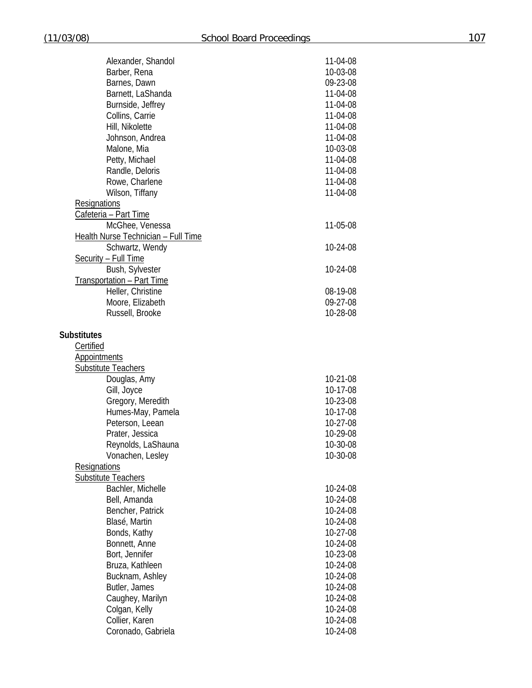| Alexander, Shandol                  | 11-04-08       |
|-------------------------------------|----------------|
| Barber, Rena                        | 10-03-08       |
| Barnes, Dawn                        | 09-23-08       |
| Barnett, LaShanda                   | 11-04-08       |
| Burnside, Jeffrey                   | 11-04-08       |
| Collins, Carrie                     | 11-04-08       |
| Hill, Nikolette                     | 11-04-08       |
| Johnson, Andrea                     | 11-04-08       |
| Malone, Mia                         | 10-03-08       |
| Petty, Michael                      | 11-04-08       |
| Randle, Deloris                     | 11-04-08       |
| Rowe, Charlene                      | 11-04-08       |
|                                     | 11-04-08       |
| Wilson, Tiffany                     |                |
| <b>Resignations</b>                 |                |
| Cafeteria - Part Time               |                |
| McGhee, Venessa                     | 11-05-08       |
| Health Nurse Technician - Full Time |                |
| Schwartz, Wendy                     | 10-24-08       |
| Security - Full Time                |                |
| Bush, Sylvester                     | 10-24-08       |
| Transportation - Part Time          |                |
| Heller, Christine                   | 08-19-08       |
| Moore, Elizabeth                    | 09-27-08       |
| Russell, Brooke                     | 10-28-08       |
|                                     |                |
| <b>Substitutes</b>                  |                |
| Certified                           |                |
| <b>Appointments</b>                 |                |
| Substitute Teachers                 |                |
| Douglas, Amy                        | 10-21-08       |
| Gill, Joyce                         | 10-17-08       |
| Gregory, Meredith                   | 10-23-08       |
| Humes-May, Pamela                   | 10-17-08       |
| Peterson, Leean                     | 10-27-08       |
| Prater, Jessica                     | 10-29-08       |
| Reynolds, LaShauna                  | $10 - 30 - 08$ |
| Vonachen, Lesley                    | 10-30-08       |
| <b>Resignations</b>                 |                |
| <b>Substitute Teachers</b>          |                |
| Bachler, Michelle                   | 10-24-08       |
|                                     |                |
| Bell, Amanda                        | 10-24-08       |
| Bencher, Patrick                    | 10-24-08       |
| Blasé, Martin                       | 10-24-08       |
| Bonds, Kathy                        | 10-27-08       |
| Bonnett, Anne                       | 10-24-08       |
| Bort, Jennifer                      | 10-23-08       |
| Bruza, Kathleen                     | 10-24-08       |
| Bucknam, Ashley                     | 10-24-08       |
| Butler, James                       | 10-24-08       |
| Caughey, Marilyn                    | 10-24-08       |
| Colgan, Kelly                       | 10-24-08       |
| Collier, Karen                      | 10-24-08       |
| Coronado, Gabriela                  | 10-24-08       |
|                                     |                |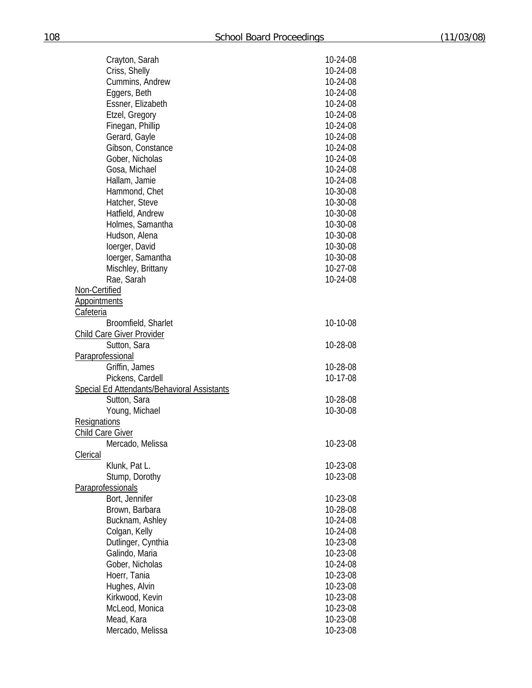|                         | Crayton, Sarah                              | 10-24-08 |
|-------------------------|---------------------------------------------|----------|
|                         | Criss, Shelly                               | 10-24-08 |
|                         | Cummins, Andrew                             | 10-24-08 |
|                         | Eggers, Beth                                | 10-24-08 |
|                         | Essner, Elizabeth                           | 10-24-08 |
|                         | Etzel, Gregory                              | 10-24-08 |
|                         | Finegan, Phillip                            | 10-24-08 |
|                         | Gerard, Gayle                               | 10-24-08 |
|                         | Gibson, Constance                           | 10-24-08 |
|                         | Gober, Nicholas                             | 10-24-08 |
|                         | Gosa, Michael                               | 10-24-08 |
|                         | Hallam, Jamie                               | 10-24-08 |
|                         |                                             |          |
|                         | Hammond, Chet                               | 10-30-08 |
|                         | Hatcher, Steve                              | 10-30-08 |
|                         | Hatfield, Andrew                            | 10-30-08 |
|                         | Holmes, Samantha                            | 10-30-08 |
|                         | Hudson, Alena                               | 10-30-08 |
|                         | loerger, David                              | 10-30-08 |
|                         | loerger, Samantha                           | 10-30-08 |
|                         | Mischley, Brittany                          | 10-27-08 |
|                         | Rae, Sarah                                  | 10-24-08 |
| Non-Certified           |                                             |          |
| <b>Appointments</b>     |                                             |          |
| Cafeteria               |                                             |          |
|                         | Broomfield, Sharlet                         | 10-10-08 |
|                         | <b>Child Care Giver Provider</b>            |          |
|                         | Sutton, Sara                                | 10-28-08 |
| Paraprofessional        |                                             |          |
|                         | Griffin, James                              | 10-28-08 |
|                         | Pickens, Cardell                            | 10-17-08 |
|                         | Special Ed Attendants/Behavioral Assistants |          |
|                         | Sutton, Sara                                | 10-28-08 |
|                         | Young, Michael                              | 10-30-08 |
| Resignations            |                                             |          |
| <b>Child Care Giver</b> |                                             |          |
|                         | Mercado, Melissa                            | 10-23-08 |
| <b>Clerical</b>         |                                             |          |
|                         | Klunk, Pat L.                               | 10-23-08 |
|                         | Stump, Dorothy                              | 10-23-08 |
| Paraprofessionals       |                                             |          |
|                         | Bort, Jennifer                              | 10-23-08 |
|                         | Brown, Barbara                              |          |
|                         |                                             | 10-28-08 |
|                         | Bucknam, Ashley                             | 10-24-08 |
|                         | Colgan, Kelly                               | 10-24-08 |
|                         | Dutlinger, Cynthia                          | 10-23-08 |
|                         | Galindo, Maria                              | 10-23-08 |
|                         | Gober, Nicholas                             | 10-24-08 |
|                         | Hoerr, Tania                                | 10-23-08 |
|                         | Hughes, Alvin                               | 10-23-08 |
|                         | Kirkwood, Kevin                             | 10-23-08 |
|                         | McLeod, Monica                              | 10-23-08 |
|                         | Mead, Kara                                  | 10-23-08 |
|                         | Mercado, Melissa                            | 10-23-08 |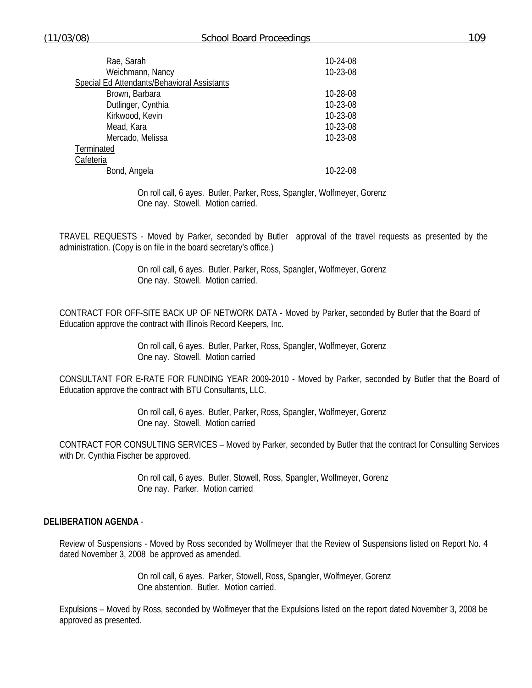| Rae, Sarah                                  | 10-24-08 |
|---------------------------------------------|----------|
| Weichmann, Nancy                            | 10-23-08 |
| Special Ed Attendants/Behavioral Assistants |          |
| Brown, Barbara                              | 10-28-08 |
| Dutlinger, Cynthia                          | 10-23-08 |
| Kirkwood, Kevin                             | 10-23-08 |
| Mead, Kara                                  | 10-23-08 |
| Mercado, Melissa                            | 10-23-08 |
| Terminated                                  |          |
| Cafeteria                                   |          |
| Bond, Angela                                | 10-22-08 |

 On roll call, 6 ayes. Butler, Parker, Ross, Spangler, Wolfmeyer, Gorenz One nay. Stowell. Motion carried.

TRAVEL REQUESTS - Moved by Parker, seconded by Butler approval of the travel requests as presented by the administration. (Copy is on file in the board secretary's office.)

> On roll call, 6 ayes. Butler, Parker, Ross, Spangler, Wolfmeyer, Gorenz One nay. Stowell. Motion carried.

CONTRACT FOR OFF-SITE BACK UP OF NETWORK DATA - Moved by Parker, seconded by Butler that the Board of Education approve the contract with Illinois Record Keepers, Inc.

> On roll call, 6 ayes. Butler, Parker, Ross, Spangler, Wolfmeyer, Gorenz One nay. Stowell. Motion carried

CONSULTANT FOR E-RATE FOR FUNDING YEAR 2009-2010 - Moved by Parker, seconded by Butler that the Board of Education approve the contract with BTU Consultants, LLC.

> On roll call, 6 ayes. Butler, Parker, Ross, Spangler, Wolfmeyer, Gorenz One nay. Stowell. Motion carried

CONTRACT FOR CONSULTING SERVICES – Moved by Parker, seconded by Butler that the contract for Consulting Services with Dr. Cynthia Fischer be approved.

> On roll call, 6 ayes. Butler, Stowell, Ross, Spangler, Wolfmeyer, Gorenz One nay. Parker. Motion carried

### **DELIBERATION AGENDA** -

Review of Suspensions - Moved by Ross seconded by Wolfmeyer that the Review of Suspensions listed on Report No. 4 dated November 3, 2008 be approved as amended.

> On roll call, 6 ayes. Parker, Stowell, Ross, Spangler, Wolfmeyer, Gorenz One abstention. Butler. Motion carried.

Expulsions – Moved by Ross, seconded by Wolfmeyer that the Expulsions listed on the report dated November 3, 2008 be approved as presented.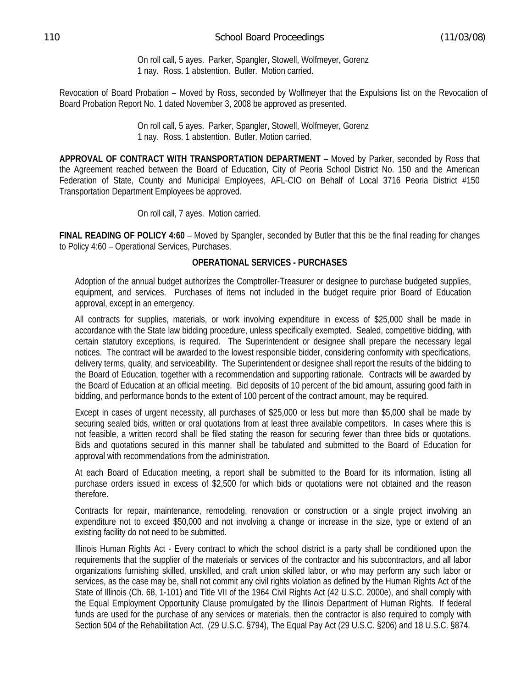On roll call, 5 ayes. Parker, Spangler, Stowell, Wolfmeyer, Gorenz 1 nay. Ross. 1 abstention. Butler. Motion carried.

Revocation of Board Probation – Moved by Ross, seconded by Wolfmeyer that the Expulsions list on the Revocation of Board Probation Report No. 1 dated November 3, 2008 be approved as presented.

> On roll call, 5 ayes. Parker, Spangler, Stowell, Wolfmeyer, Gorenz 1 nay. Ross. 1 abstention. Butler. Motion carried.

**APPROVAL OF CONTRACT WITH TRANSPORTATION DEPARTMENT** – Moved by Parker, seconded by Ross that the Agreement reached between the Board of Education, City of Peoria School District No. 150 and the American Federation of State, County and Municipal Employees, AFL-CIO on Behalf of Local 3716 Peoria District #150 Transportation Department Employees be approved.

On roll call, 7 ayes. Motion carried.

**FINAL READING OF POLICY 4:60** – Moved by Spangler, seconded by Butler that this be the final reading for changes to Policy 4:60 – Operational Services, Purchases.

# **OPERATIONAL SERVICES - PURCHASES**

Adoption of the annual budget authorizes the Comptroller-Treasurer or designee to purchase budgeted supplies, equipment, and services. Purchases of items not included in the budget require prior Board of Education approval, except in an emergency.

All contracts for supplies, materials, or work involving expenditure in excess of \$25,000 shall be made in accordance with the State law bidding procedure, unless specifically exempted. Sealed, competitive bidding, with certain statutory exceptions, is required. The Superintendent or designee shall prepare the necessary legal notices. The contract will be awarded to the lowest responsible bidder, considering conformity with specifications, delivery terms, quality, and serviceability. The Superintendent or designee shall report the results of the bidding to the Board of Education, together with a recommendation and supporting rationale. Contracts will be awarded by the Board of Education at an official meeting. Bid deposits of 10 percent of the bid amount, assuring good faith in bidding, and performance bonds to the extent of 100 percent of the contract amount, may be required.

Except in cases of urgent necessity, all purchases of \$25,000 or less but more than \$5,000 shall be made by securing sealed bids, written or oral quotations from at least three available competitors. In cases where this is not feasible, a written record shall be filed stating the reason for securing fewer than three bids or quotations. Bids and quotations secured in this manner shall be tabulated and submitted to the Board of Education for approval with recommendations from the administration.

At each Board of Education meeting, a report shall be submitted to the Board for its information, listing all purchase orders issued in excess of \$2,500 for which bids or quotations were not obtained and the reason therefore.

Contracts for repair, maintenance, remodeling, renovation or construction or a single project involving an expenditure not to exceed \$50,000 and not involving a change or increase in the size, type or extend of an existing facility do not need to be submitted*.* 

Illinois Human Rights Act - Every contract to which the school district is a party shall be conditioned upon the requirements that the supplier of the materials or services of the contractor and his subcontractors, and all labor organizations furnishing skilled, unskilled, and craft union skilled labor, or who may perform any such labor or services, as the case may be, shall not commit any civil rights violation as defined by the Human Rights Act of the State of Illinois (Ch. 68, 1-101) and Title VII of the 1964 Civil Rights Act (42 U.S.C. 2000e), and shall comply with the Equal Employment Opportunity Clause promulgated by the Illinois Department of Human Rights. If federal funds are used for the purchase of any services or materials, then the contractor is also required to comply with Section 504 of the Rehabilitation Act. (29 U.S.C. §794), The Equal Pay Act (29 U.S.C. §206) and 18 U.S.C. §874.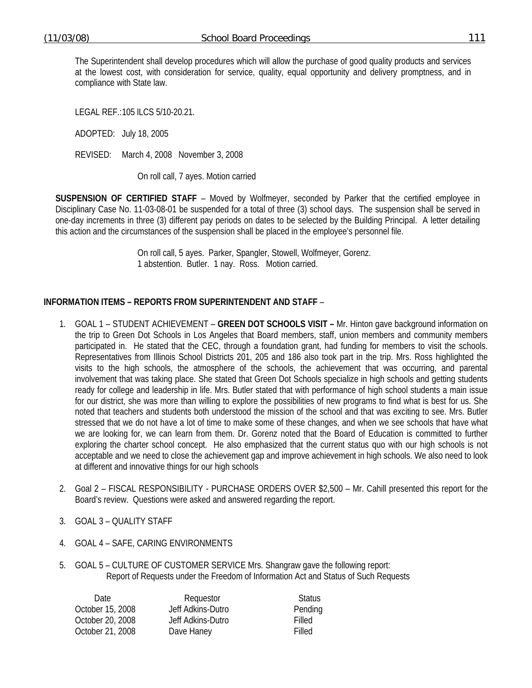The Superintendent shall develop procedures which will allow the purchase of good quality products and services at the lowest cost, with consideration for service, quality, equal opportunity and delivery promptness, and in compliance with State law.

LEGAL REF.: 105 ILCS 5/10-20.21.

ADOPTED: July 18, 2005

REVISED: March 4, 2008 November 3, 2008

On roll call, 7 ayes. Motion carried

**SUSPENSION OF CERTIFIED STAFF** – Moved by Wolfmeyer, seconded by Parker that the certified employee in Disciplinary Case No. 11-03-08-01 be suspended for a total of three (3) school days. The suspension shall be served in one-day increments in three (3) different pay periods on dates to be selected by the Building Principal. A letter detailing this action and the circumstances of the suspension shall be placed in the employee's personnel file.

> On roll call, 5 ayes. Parker, Spangler, Stowell, Wolfmeyer, Gorenz. 1 abstention. Butler. 1 nay. Ross. Motion carried.

# **INFORMATION ITEMS – REPORTS FROM SUPERINTENDENT AND STAFF** –

- 1. GOAL 1 STUDENT ACHIEVEMENT **GREEN DOT SCHOOLS VISIT** Mr. Hinton gave background information on the trip to Green Dot Schools in Los Angeles that Board members, staff, union members and community members participated in. He stated that the CEC, through a foundation grant, had funding for members to visit the schools. Representatives from Illinois School Districts 201, 205 and 186 also took part in the trip. Mrs. Ross highlighted the visits to the high schools, the atmosphere of the schools, the achievement that was occurring, and parental involvement that was taking place. She stated that Green Dot Schools specialize in high schools and getting students ready for college and leadership in life. Mrs. Butler stated that with performance of high school students a main issue for our district, she was more than willing to explore the possibilities of new programs to find what is best for us. She noted that teachers and students both understood the mission of the school and that was exciting to see. Mrs. Butler stressed that we do not have a lot of time to make some of these changes, and when we see schools that have what we are looking for, we can learn from them. Dr. Gorenz noted that the Board of Education is committed to further exploring the charter school concept. He also emphasized that the current status quo with our high schools is not acceptable and we need to close the achievement gap and improve achievement in high schools. We also need to look at different and innovative things for our high schools
- 2. Goal 2 FISCAL RESPONSIBILITY PURCHASE ORDERS OVER \$2,500 Mr. Cahill presented this report for the Board's review. Questions were asked and answered regarding the report.
- 3. GOAL 3 QUALITY STAFF
- 4. GOAL 4 SAFE, CARING ENVIRONMENTS
- 5. GOAL 5 CULTURE OF CUSTOMER SERVICE Mrs. Shangraw gave the following report: Report of Requests under the Freedom of Information Act and Status of Such Requests

| Requestor         | <b>Status</b> |
|-------------------|---------------|
| Jeff Adkins-Dutro | Pending       |
| Jeff Adkins-Dutro | Filled        |
| Dave Haney        | Filled        |
|                   |               |